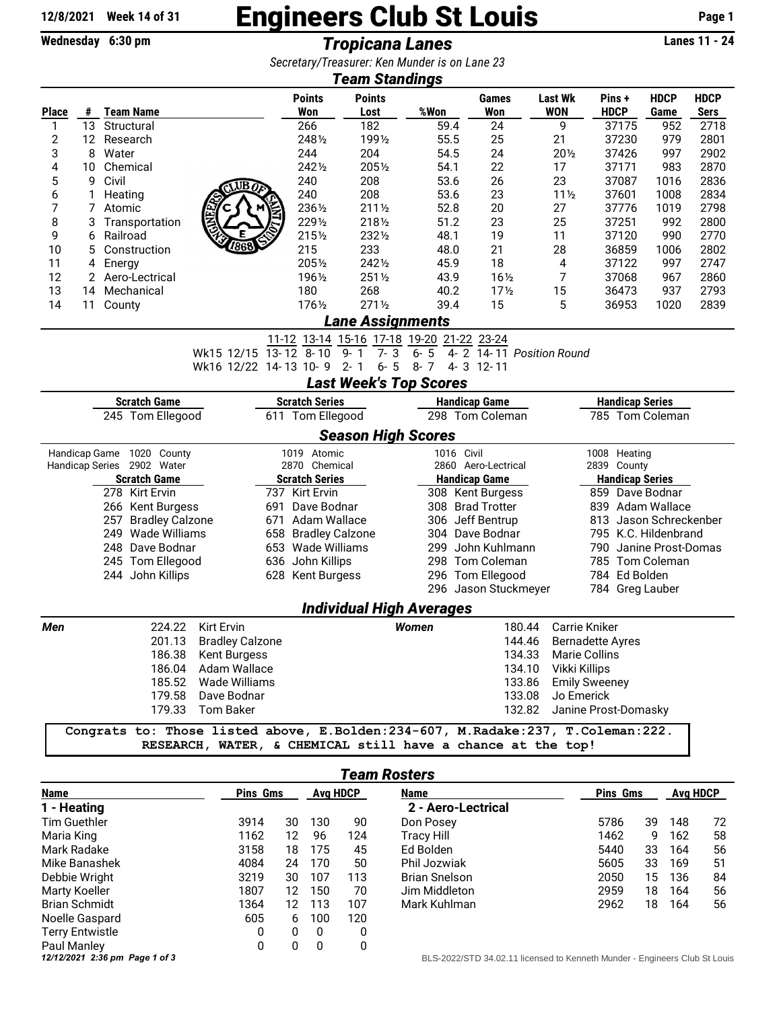## 12/8/2021 Week 14 of 31 **Engineers Club St Louis** Page 1

**Wednesday 6:30 pm** *Tropicana Lanes* **Lanes 11 - 24**

*Secretary/Treasurer: Ken Munder is on Lane 23*

|              | Team Standings |                  |                     |                      |                       |      |                     |                              |                      |                     |                            |  |
|--------------|----------------|------------------|---------------------|----------------------|-----------------------|------|---------------------|------------------------------|----------------------|---------------------|----------------------------|--|
| <b>Place</b> | #              | Team Name        |                     | <b>Points</b><br>Won | <b>Points</b><br>Lost | %Won | <b>Games</b><br>Won | <b>Last Wk</b><br><b>WON</b> | Pins+<br><b>HDCP</b> | <b>HDCP</b><br>Game | <b>HDCP</b><br><b>Sers</b> |  |
|              | 13             | Structural       |                     | 266                  | 182                   | 59.4 | 24                  | 9                            | 37175                | 952                 | 2718                       |  |
| 2            | 12.            | Research         |                     | 2481/2               | 1991/2                | 55.5 | 25                  | 21                           | 37230                | 979                 | 2801                       |  |
| 3            | 8              | Water            |                     | 244                  | 204                   | 54.5 | 24                  | $20\frac{1}{2}$              | 37426                | 997                 | 2902                       |  |
| 4            | 10             | Chemical         |                     | 2421/2               | 2051/2                | 54.1 | 22                  | 17                           | 37171                | 983                 | 2870                       |  |
| 5            | 9              | Civil            | CLUB OF             | 240                  | 208                   | 53.6 | 26                  | 23                           | 37087                | 1016                | 2836                       |  |
| 6            |                | Heating          |                     | 240                  | 208                   | 53.6 | 23                  | $11\frac{1}{2}$              | 37601                | 1008                | 2834                       |  |
| 7            |                | Atomic           | CONTROL<br>Ě<br>С   | 2361/2               | $211\frac{1}{2}$      | 52.8 | 20                  | 27                           | 37776                | 1019                | 2798                       |  |
| 8            |                | Transportation   | loj.                | 2291/2               | 2181/2                | 51.2 | 23                  | 25                           | 37251                | 992                 | 2800                       |  |
| 9            |                | 6 Railroad       | E<br>$\mathfrak{S}$ | $215\frac{1}{2}$     | 2321/2                | 48.1 | 19                  | 11                           | 37120                | 990                 | 2770                       |  |
| 10           |                | 5 Construction   | 4868                | 215                  | 233                   | 48.0 | 21                  | 28                           | 36859                | 1006                | 2802                       |  |
| 11           | 4              | Energy           |                     | 2051/2               | 2421/2                | 45.9 | 18                  | 4                            | 37122                | 997                 | 2747                       |  |
| 12           |                | 2 Aero-Lectrical |                     | 1961/2               | 2511/2                | 43.9 | $16\frac{1}{2}$     | 7                            | 37068                | 967                 | 2860                       |  |
| 13           | 14             | Mechanical       |                     | 180                  | 268                   | 40.2 | $17\frac{1}{2}$     | 15                           | 36473                | 937                 | 2793                       |  |
| 14           | 11             | County           |                     | 1761/2               | $271\frac{1}{2}$      | 39.4 | 15                  | 5                            | 36953                | 1020                | 2839                       |  |

## *Lane Assignments*

11-12 13-14 15-16 17-18 19-20 21-22 23-24

Wk15 12/15 13- 12 8- 10 9- 1 7- 3 6- 5 4- 2 14- 11 *Position Round*

Wk16 12/22 14-13 10-9 2-1 6-5 8-7 4-3 12-11

|                           | <b>Scratch Game</b>    |                        | <b>Scratch Series</b>               |                           | <b>Handicap Game</b> |                         | <b>Handicap Series</b>                         |  |  |  |
|---------------------------|------------------------|------------------------|-------------------------------------|---------------------------|----------------------|-------------------------|------------------------------------------------|--|--|--|
|                           | 245 Tom Ellegood       |                        | 611 Tom Ellegood                    |                           | 298 Tom Coleman      |                         | 785 Tom Coleman                                |  |  |  |
|                           |                        |                        |                                     | <b>Season High Scores</b> |                      |                         |                                                |  |  |  |
| Handicap Game 1020 County |                        |                        | 1019 Atomic                         |                           | 1016 Civil           |                         | 1008 Heating                                   |  |  |  |
| <b>Handicap Series</b>    | 2902 Water             |                        | 2870 Chemical                       |                           | 2860 Aero-Lectrical  |                         | 2839 County                                    |  |  |  |
|                           | <b>Scratch Game</b>    |                        | <b>Scratch Series</b>               |                           | <b>Handicap Game</b> |                         | <b>Handicap Series</b>                         |  |  |  |
|                           | 278 Kirt Ervin         |                        | 737 Kirt Ervin                      |                           | 308 Kent Burgess     |                         | 859 Dave Bodnar                                |  |  |  |
|                           | 266 Kent Burgess       |                        | Dave Bodnar<br>691                  | 308                       | <b>Brad Trotter</b>  | 839                     | Adam Wallace                                   |  |  |  |
| 257                       | <b>Bradley Calzone</b> | 671                    | Adam Wallace<br>658 Bradley Calzone |                           | 306 Jeff Bentrup     |                         | 813 Jason Schreckenber<br>795 K.C. Hildenbrand |  |  |  |
|                           | 249 Wade Williams      |                        |                                     |                           | 304 Dave Bodnar      |                         |                                                |  |  |  |
|                           | 248 Dave Bodnar        |                        | 653 Wade Williams                   | 299                       | John Kuhlmann        | 790.                    | Janine Prost-Domas                             |  |  |  |
|                           | 245 Tom Ellegood       |                        | 636 John Killips                    | 298                       | Tom Coleman          |                         | 785 Tom Coleman                                |  |  |  |
|                           | 244 John Killips       |                        | 628 Kent Burgess                    | 296                       | Tom Ellegood         |                         | 784 Ed Bolden                                  |  |  |  |
|                           |                        |                        |                                     |                           | 296 Jason Stuckmeyer |                         | 784 Greg Lauber                                |  |  |  |
|                           |                        |                        | <b>Individual High Averages</b>     |                           |                      |                         |                                                |  |  |  |
| <b>Men</b>                | 224.22                 | Kirt Ervin             |                                     | Women                     | 180.44               | Carrie Kniker           |                                                |  |  |  |
|                           | 201.13                 | <b>Bradley Calzone</b> |                                     |                           | 144.46               | <b>Bernadette Ayres</b> |                                                |  |  |  |
|                           | 186.38                 | Kent Burgess           |                                     |                           | 134.33               | <b>Marie Collins</b>    |                                                |  |  |  |
|                           | 186.04                 | Adam Wallace           |                                     |                           | 134.10               | Vikki Killips           |                                                |  |  |  |
|                           | 185.52                 | Wade Williams          |                                     |                           | 133.86               | <b>Emily Sweeney</b>    |                                                |  |  |  |
|                           | 179.58                 | Dave Bodnar            |                                     |                           | 133.08               | Jo Emerick              |                                                |  |  |  |
|                           | 179.33                 | <b>Tom Baker</b>       |                                     |                           | 132.82               | Janine Prost-Domasky    |                                                |  |  |  |

**RESEARCH, WATER, & CHEMICAL still have a chance at the top!**

## *Team Rosters*

| <b>Name</b>                    | <b>Pins Gms</b> |    | <b>Avg HDCP</b> |                                                                            | <b>Name</b>          | <b>Pins Gms</b> |    | <b>Avg HDCP</b> |    |
|--------------------------------|-----------------|----|-----------------|----------------------------------------------------------------------------|----------------------|-----------------|----|-----------------|----|
| 1 - Heating                    |                 |    |                 |                                                                            | 2 - Aero-Lectrical   |                 |    |                 |    |
| Tim Guethler                   | 3914            | 30 | 130             | 90                                                                         | Don Posey            | 5786            | 39 | 148             | 72 |
| Maria King                     | 1162            | 12 | 96              | 124                                                                        | <b>Tracy Hill</b>    | 1462            | 9  | 162             | 58 |
| Mark Radake                    | 3158            | 18 | 175             | 45                                                                         | Ed Bolden            | 5440            | 33 | 164             | 56 |
| Mike Banashek                  | 4084            | 24 | 170             | 50                                                                         | Phil Jozwiak         | 5605            | 33 | 169             | 51 |
| Debbie Wright                  | 3219            | 30 | 107             | 113                                                                        | <b>Brian Snelson</b> | 2050            | 15 | 136             | 84 |
| Marty Koeller                  | 1807            | 12 | 150             | 70                                                                         | Jim Middleton        | 2959            | 18 | 164             | 56 |
| <b>Brian Schmidt</b>           | 1364            | 12 | 113             | 107                                                                        | Mark Kuhlman         | 2962            | 18 | 164             | 56 |
| Noelle Gaspard                 | 605             | 6  | 100             | 120                                                                        |                      |                 |    |                 |    |
| Terry Entwistle                | 0               | 0  | 0               | 0                                                                          |                      |                 |    |                 |    |
| Paul Manley                    | 0               | 0  | 0               | 0                                                                          |                      |                 |    |                 |    |
| 12/12/2021 2:36 pm Page 1 of 3 |                 |    |                 | BLS-2022/STD 34.02.11 licensed to Kenneth Munder - Engineers Club St Louis |                      |                 |    |                 |    |